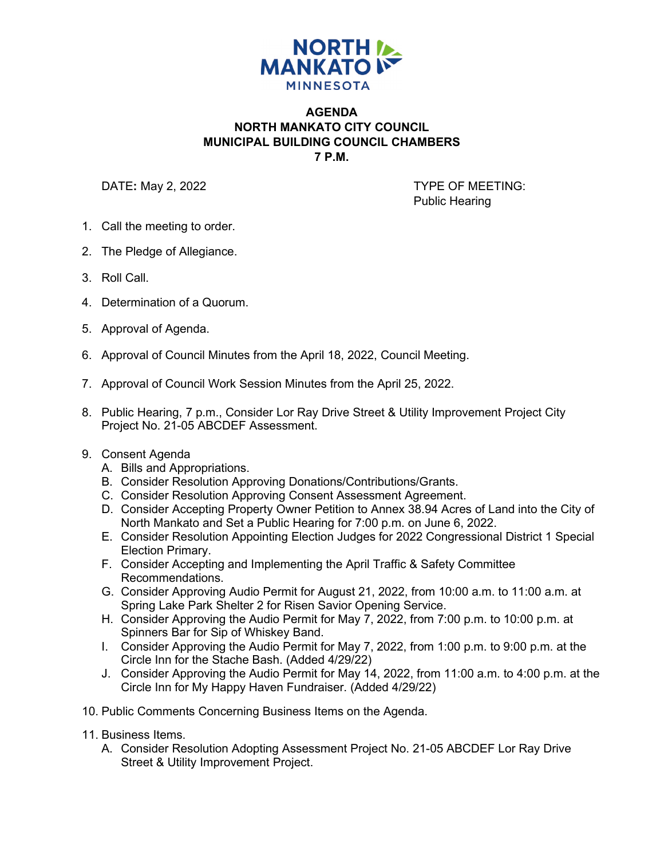

## **AGENDA NORTH MANKATO CITY COUNCIL MUNICIPAL BUILDING COUNCIL CHAMBERS 7 P.M.**

DATE: May 2, 2022 **TYPE OF MEETING:** Public Hearing

- 1. Call the meeting to order.
- 2. The Pledge of Allegiance.
- 3. Roll Call.
- 4. Determination of a Quorum.
- 5. Approval of Agenda.
- 6. Approval of Council Minutes from the April 18, 2022, Council Meeting.
- 7. Approval of Council Work Session Minutes from the April 25, 2022.
- 8. Public Hearing, 7 p.m., Consider Lor Ray Drive Street & Utility Improvement Project City Project No. 21-05 ABCDEF Assessment.

## 9. Consent Agenda

- A. Bills and Appropriations.
- B. Consider Resolution Approving Donations/Contributions/Grants.
- C. Consider Resolution Approving Consent Assessment Agreement.
- D. Consider Accepting Property Owner Petition to Annex 38.94 Acres of Land into the City of North Mankato and Set a Public Hearing for 7:00 p.m. on June 6, 2022.
- E. Consider Resolution Appointing Election Judges for 2022 Congressional District 1 Special Election Primary.
- F. Consider Accepting and Implementing the April Traffic & Safety Committee Recommendations.
- G. Consider Approving Audio Permit for August 21, 2022, from 10:00 a.m. to 11:00 a.m. at Spring Lake Park Shelter 2 for Risen Savior Opening Service.
- H. Consider Approving the Audio Permit for May 7, 2022, from 7:00 p.m. to 10:00 p.m. at Spinners Bar for Sip of Whiskey Band.
- I. Consider Approving the Audio Permit for May 7, 2022, from 1:00 p.m. to 9:00 p.m. at the Circle Inn for the Stache Bash. (Added 4/29/22)
- J. Consider Approving the Audio Permit for May 14, 2022, from 11:00 a.m. to 4:00 p.m. at the Circle Inn for My Happy Haven Fundraiser. (Added 4/29/22)
- 10. Public Comments Concerning Business Items on the Agenda.
- 11. Business Items.
	- A. Consider Resolution Adopting Assessment Project No. 21-05 ABCDEF Lor Ray Drive Street & Utility Improvement Project.